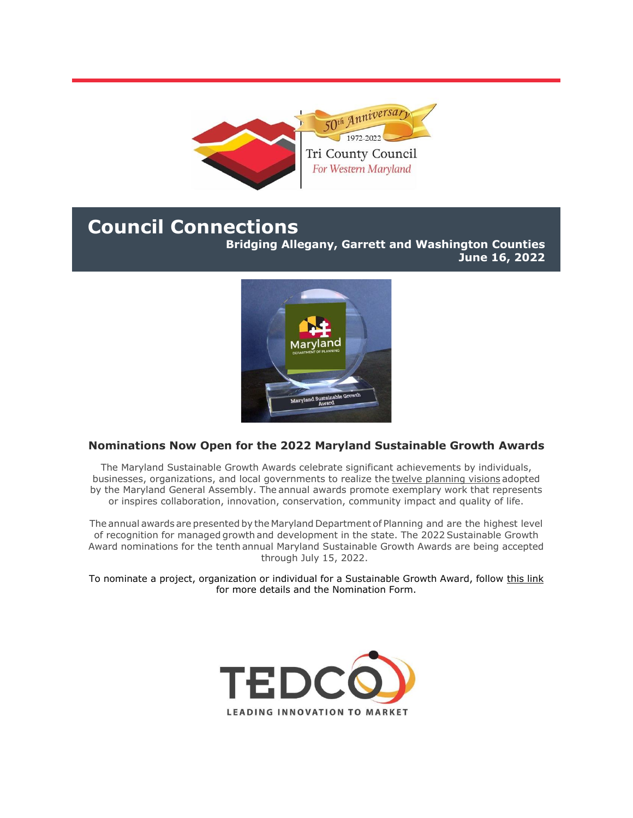

# **Council Connections**

**Bridging Allegany, Garrett and Washington Counties June 16, 2022**



## **Nominations Now Open for the 2022 Maryland Sustainable Growth Awards**

The Maryland Sustainable Growth Awards celebrate significant achievements by individuals, businesses, organizations, and local governments to realize the twelve [planning visions](https://r20.rs6.net/tn.jsp?f=001iPpWtlgNbqMr0nTHiAUanIJ6w9EI2lC6acrslPsA_SGnfMivlCv3kiFzb9ReLDhIp96lj93ZKg42QrfDGYkbtqa0hS6LUUtrfnzPHjrSRaRSRmqL1XhTm2EAJDLt-A52MbElv8SIisbR22d7ICa8TIGlTvxR0r4piTUgJ5b2irjVZ0Bfe-we7AW7BpHpdnljAZbxPSIZ9TQ=&c=SDboR9LxjT3KIN3DVsnk31S-KHO2EclG5OA7QR5R1zk6ENc5LfXdgg==&ch=cxn9MnZTQ0L0W9-5a3Pco7kKepdG0f4pnXXnPm6YPegyrINqEXdSmg==) adopted by the Maryland General Assembly. The annual awards promote exemplary work that represents or inspires collaboration, innovation, conservation, community impact and quality of life.

The annual awards are presented by the Maryland Department of Planning and are the highest level of recognition for managed growth and development in the state. The 2022 Sustainable Growth Award nominations for the tenth annual Maryland Sustainable Growth Awards are being accepted through July 15, 2022.

To nominate a project, organization or individual for a Sustainable Growth Award, follow [this link](https://r20.rs6.net/tn.jsp?f=001iPpWtlgNbqMr0nTHiAUanIJ6w9EI2lC6acrslPsA_SGnfMivlCv3kiFzb9ReLDhIVCr4LzFbihiOIxpBcmlFdxn8e95t9fgPxYp85jTC7MSVGJO_QlEKHMGhQYTG27HBAFyuAcXVTgSnoLgR0BduXW_Ci_8kYz7fMYmvKQFfPKdIRShoAFFpz3GbeZiW6k5nLe27kVf8t8H7RL4ll5N5NQ62MalW-ImSD6I2stZn7_pcCxiOre9_xw==&c=SDboR9LxjT3KIN3DVsnk31S-KHO2EclG5OA7QR5R1zk6ENc5LfXdgg==&ch=cxn9MnZTQ0L0W9-5a3Pco7kKepdG0f4pnXXnPm6YPegyrINqEXdSmg==) for more details and the Nomination Form.